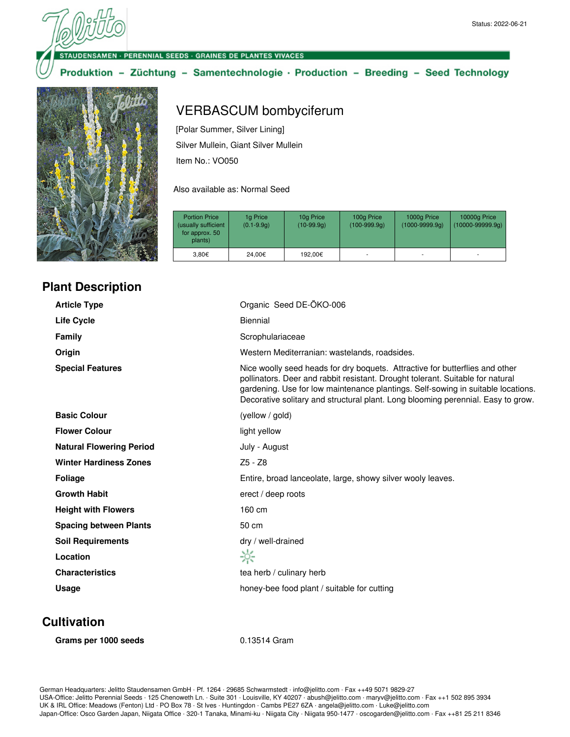#### **VSAMEN · PERENNIAL SEEDS · GRAINES DE PLANTES VIVACES**

### Produktion - Züchtung - Samentechnologie · Production - Breeding - Seed Technology



#### **Plant Description**

# VERBASCUM bombyciferum

[Polar Summer, Silver Lining] Silver Mullein, Giant Silver Mullein Item No.: VO050

Also available as: Normal Seed

| <b>Portion Price</b><br>(usually sufficient<br>for approx. 50<br>plants) | 1g Price<br>$(0.1 - 9.9q)$ | 10g Price<br>$(10-99.9q)$ | 100g Price<br>$(100-999.9q)$ | 1000g Price<br>$(1000 - 9999.9q)$ | 10000g Price<br>$(10000 - 99999.9q)$ |
|--------------------------------------------------------------------------|----------------------------|---------------------------|------------------------------|-----------------------------------|--------------------------------------|
| 3.80€                                                                    | 24.00€                     | 192.00€                   | ۰                            |                                   |                                      |

| <b>Article Type</b>             | Organic Seed DE-ÖKO-006                                                                                                                                                                                                                                                                                                                |  |
|---------------------------------|----------------------------------------------------------------------------------------------------------------------------------------------------------------------------------------------------------------------------------------------------------------------------------------------------------------------------------------|--|
| <b>Life Cycle</b>               | Biennial                                                                                                                                                                                                                                                                                                                               |  |
| Family                          | Scrophulariaceae                                                                                                                                                                                                                                                                                                                       |  |
| Origin                          | Western Mediterranian: wastelands, roadsides.                                                                                                                                                                                                                                                                                          |  |
| <b>Special Features</b>         | Nice woolly seed heads for dry boquets. Attractive for butterflies and other<br>pollinators. Deer and rabbit resistant. Drought tolerant. Suitable for natural<br>gardening. Use for low maintenance plantings. Self-sowing in suitable locations.<br>Decorative solitary and structural plant. Long blooming perennial. Easy to grow. |  |
| <b>Basic Colour</b>             | (yellow / gold)                                                                                                                                                                                                                                                                                                                        |  |
| <b>Flower Colour</b>            | light yellow                                                                                                                                                                                                                                                                                                                           |  |
| <b>Natural Flowering Period</b> | July - August                                                                                                                                                                                                                                                                                                                          |  |
| <b>Winter Hardiness Zones</b>   | $Z5 - Z8$                                                                                                                                                                                                                                                                                                                              |  |
| <b>Foliage</b>                  | Entire, broad lanceolate, large, showy silver wooly leaves.                                                                                                                                                                                                                                                                            |  |
| <b>Growth Habit</b>             | erect / deep roots                                                                                                                                                                                                                                                                                                                     |  |
| <b>Height with Flowers</b>      | 160 cm                                                                                                                                                                                                                                                                                                                                 |  |
| <b>Spacing between Plants</b>   | 50 cm                                                                                                                                                                                                                                                                                                                                  |  |
| <b>Soil Requirements</b>        | dry / well-drained                                                                                                                                                                                                                                                                                                                     |  |
| Location                        | ☆                                                                                                                                                                                                                                                                                                                                      |  |
| <b>Characteristics</b>          | tea herb / culinary herb                                                                                                                                                                                                                                                                                                               |  |
| Usage                           | honey-bee food plant / suitable for cutting                                                                                                                                                                                                                                                                                            |  |
|                                 |                                                                                                                                                                                                                                                                                                                                        |  |

#### **Cultivation**

| Grams per 1000 seeds |  |  |  |  |
|----------------------|--|--|--|--|
|----------------------|--|--|--|--|

0.13514 Gram